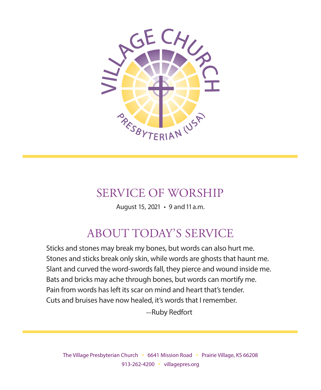

## SERVICE OF WORSHIP

August 15, 2021 • 9 and 11 a.m.

# ABOUT TODAY'S SERVICE

Sticks and stones may break my bones, but words can also hurt me. Stones and sticks break only skin, while words are ghosts that haunt me. Slant and curved the word-swords fall, they pierce and wound inside me. Bats and bricks may ache through bones, but words can mortify me. Pain from words has left its scar on mind and heart that's tender. Cuts and bruises have now healed, it's words that I remember.

-Ruby Redfort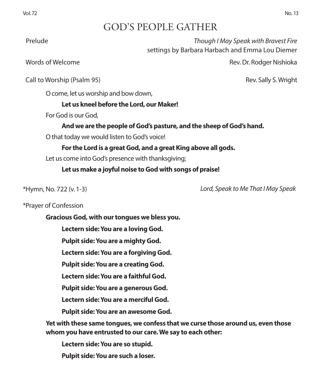## GOD'S PEOPLE GATHER

Prelude *Though I May Speak with Bravest Fire*

Words of Welcome **Rev. Dr. Rodger Nishioka** Rev. Dr. Rodger Nishioka

settings by Barbara Harbach and Emma Lou Diemer

Call to Worship (Psalm 95) **Rev. Sally S. Wright** Call to Worship (Psalm 95)

O come, let us worship and bow down,

#### **Let us kneel before the Lord, our Maker!**

For God is our God,

#### **And we are the people of God's pasture, and the sheep of God's hand.**

O that today we would listen to God's voice!

#### **For the Lord is a great God, and a great King above all gods.**

Let us come into God's presence with thanksgiving;

#### **Let us make a joyful noise to God with songs of praise!**

\*Hymn, No. 722 (v. 1-3) *Lord, Speak to Me That I May Speak*

#### \*Prayer of Confession

**Gracious God, with our tongues we bless you.**

**Lectern side: You are a loving God.**

**Pulpit side: You are a mighty God.**

**Lectern side: You are a forgiving God.**

**Pulpit side: You are a creating God.**

**Lectern side: You are a faithful God.**

**Pulpit side: You are a generous God.**

**Lectern side: You are a merciful God.**

**Pulpit side: You are an awesome God.**

**Yet with these same tongues, we confess that we curse those around us, even those whom you have entrusted to our care. We say to each other:**

**Lectern side: You are so stupid.**

**Pulpit side: You are such a loser.**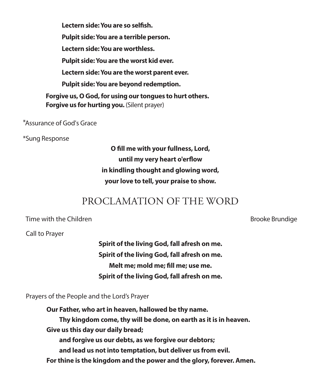**Lectern side: You are so selfish. Pulpit side: You are a terrible person. Lectern side: You are worthless. Pulpit side: You are the worst kid ever. Lectern side: You are the worst parent ever. Pulpit side: You are beyond redemption.**

**Forgive us, O God, for using our tongues to hurt others. Forgive us for hurting you.** (Silent prayer)

\*Assurance of God's Grace

\*Sung Response

**O fill me with your fullness, Lord, until my very heart o'erflow in kindling thought and glowing word, your love to tell, your praise to show.**

## PROCLAMATION OF THE WORD

Time with the Children Brooke Brundige Brooke Brundige Brooke Brundige

Call to Prayer

**Spirit of the living God, fall afresh on me. Spirit of the living God, fall afresh on me. Melt me; mold me; fill me; use me. Spirit of the living God, fall afresh on me.**

Prayers of the People and the Lord's Prayer

**Our Father, who art in heaven, hallowed be thy name. Thy kingdom come, thy will be done, on earth as it is in heaven. Give us this day our daily bread; and forgive us our debts, as we forgive our debtors; and lead us not into temptation, but deliver us from evil. For thine is the kingdom and the power and the glory, forever. Amen.**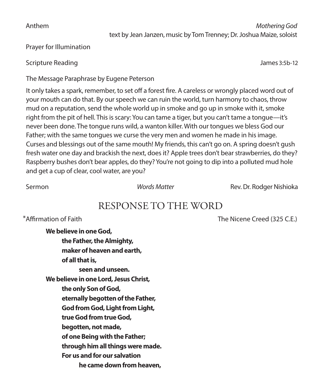#### Anthem *Mothering God*

text by Jean Janzen, music by Tom Trenney; Dr. Joshua Maize, soloist

Prayer for Illumination

Scripture Reading and the state of the state of the state of the state of the state of the state of the state of the state of the state of the state of the state of the state of the state of the state of the state of the s

The Message Paraphrase by Eugene Peterson

It only takes a spark, remember, to set off a forest fire. A careless or wrongly placed word out of your mouth can do that. By our speech we can ruin the world, turn harmony to chaos, throw mud on a reputation, send the whole world up in smoke and go up in smoke with it, smoke right from the pit of hell. This is scary: You can tame a tiger, but you can't tame a tongue—it's never been done. The tongue runs wild, a wanton killer. With our tongues we bless God our Father; with the same tongues we curse the very men and women he made in his image. Curses and blessings out of the same mouth! My friends, this can't go on. A spring doesn't gush fresh water one day and brackish the next, does it? Apple trees don't bear strawberries, do they? Raspberry bushes don't bear apples, do they? You're not going to dip into a polluted mud hole and get a cup of clear, cool water, are you?

Sermon *Words Matter* Rev. Dr. Rodger Nishioka

## RESPONSE TO THE WORD

**We believe in one God, the Father, the Almighty, maker of heaven and earth, of all that is, seen and unseen. We believe in one Lord, Jesus Christ, the only Son of God, eternally begotten of the Father, God from God, Light from Light, true God from true God, begotten, not made, of one Being with the Father; through him all things were made. For us and for our salvation he came down from heaven,**

\*Affirmation of Faith The Nicene Creed (325 C.E.)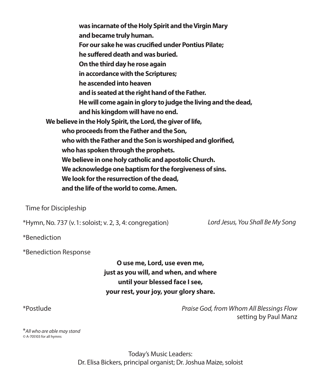**was incarnate of the Holy Spirit and the Virgin Mary and became truly human. For our sake he was crucified under Pontius Pilate; he suffered death and was buried. On the third day he rose again in accordance with the Scriptures; he ascended into heaven and is seated at the right hand of the Father. He will come again in glory to judge the living and the dead, and his kingdom will have no end. We believe in the Holy Spirit, the Lord, the giver of life, who proceeds from the Father and the Son, who with the Father and the Son is worshiped and glorified, who has spoken through the prophets. We believe in one holy catholic and apostolic Church. We acknowledge one baptism for the forgiveness of sins. We look for the resurrection of the dead, and the life of the world to come. Amen.**

Time for Discipleship

\*Hymn, No. 737 (v. 1: soloist; v. 2, 3, 4: congregation) *Lord Jesus, You Shall Be My Song*

\*Benediction

\*Benediction Response

**O use me, Lord, use even me, just as you will, and when, and where until your blessed face I see, your rest, your joy, your glory share.** 

\*Postlude *Praise God, from Whom All Blessings Flow* setting by Paul Manz

\**All who are able may stand ©* A-705103 for all hymns

> Today's Music Leaders: Dr. Elisa Bickers, principal organist; Dr. Joshua Maize, soloist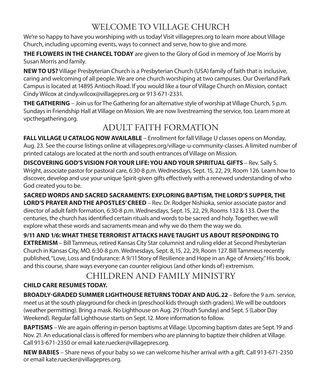## WELCOME TO VILLAGE CHURCH

We're so happy to have you worshiping with us today! Visit villagepres.org to learn more about Village Church, including upcoming events, ways to connect and serve, how to give and more.

**THE FLOWERS IN THE CHANCEL TODAY** are given to the Glory of God in memory of Joe Morris by Susan Morris and family.

**NEW TO US?** Village Presbyterian Church is a Presbyterian Church (USA) family of faith that is inclusive, caring and welcoming of all people. We are one church worshiping at two campuses. Our Overland Park Campus is located at 14895 Antioch Road. If you would like a tour of Village Church on Mission, contact Cindy Wilcox at cindy.wilcox@villagepres.org or 913-671-2331.

**THE GATHERING** – Join us for The Gathering for an alternative style of worship at Village Church, 5 p.m. Sundays in Friendship Hall at Village on Mission. We are now livestreaming the service, too. Learn more at vpcthegathering.org.

### ADULT FAITH FORMATION

**FALL VILLAGE U CATALOG NOW AVAILABLE** – Enrollment for fall Village U classes opens on Monday, Aug. 23. See the course listings online at villagepres.org/village-u-community-classes. A limited number of printed catalogs are located at the north and south entrances of Village on Mission.

**DISCOVERING GOD'S VISION FOR YOUR LIFE: YOU AND YOUR SPIRITUAL GIFTS** – Rev. Sally S. Wright, associate pastor for pastoral care, 6:30-8 p.m. Wednesdays, Sept. 15, 22, 29, Room 126. Learn how to discover, develop and use your unique Spirit-given gifts effectively with a renewed understanding of who God created you to be.

**SACRED WORDS AND SACRED SACRAMENTS: EXPLORING BAPTISM, THE LORD'S SUPPER, THE LORD'S PRAYER AND THE APOSTLES' CREED** – Rev. Dr. Rodger Nishioka, senior associate pastor and director of adult faith formation, 6:30-8 p.m. Wednesdays, Sept. 15, 22, 29, Rooms 132 & 133. Over the centuries, the church has identified certain rituals and words to be sacred and holy. Together, we will explore what these words and sacraments mean and why we do them the way we do.

**9/11 AND 1/6: WHAT THESE TERRORIST ATTACKS HAVE TAUGHT US ABOUT RESPONDING TO EXTREMISM** – Bill Tammeus, retired Kansas City Star columnist and ruling elder at Second Presbyterian Church in Kansas City, MO. 6:30-8 p.m. Wednesdays, Sept. 8, 15, 22, 29, Room 127. Bill Tammeus recently published, "Love, Loss and Endurance: A 9/11 Story of Resilience and Hope in an Age of Anxiety." His book, and this course, share ways everyone can counter religious (and other kinds of) extremism.

## CHILDREN AND FAMILY MINISTRY

#### **CHILD CARE RESUMES TODAY.**

**BROADLY-GRADED SUMMER LIGHTHOUSE RETURNS TODAY AND AUG. 22** – Before the 9 a.m. service, meet us at the south playground for check-in (preschool kids through sixth graders). We will be outdoors (weather permitting). Bring a mask. No Lighthouse on Aug. 29 (Youth Sunday) and Sept. 5 (Labor Day Weekend). Regular fall Lighthouse starts on Sept. 12. More information to follow.

**BAPTISMS** – We are again offering in-person baptisms at Village. Upcoming baptism dates are Sept. 19 and Nov. 21. An educational class is offered for members who are planning to baptize their children at Village. Call 913-671-2350 or email kate.ruecker@villagepres.org.

**NEW BABIES** – Share news of your baby so we can welcome his/her arrival with a gift. Call 913-671-2350 or email kate.ruecker@villagepres.org.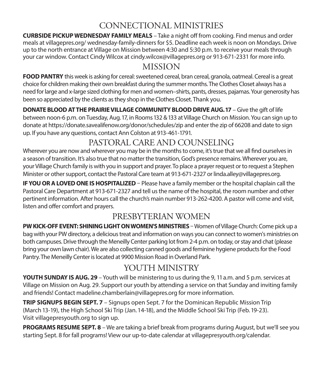## CONNECTIONAL MINISTRIES

**CURBSIDE PICKUP WEDNESDAY FAMILY MEALS** – Take a night off from cooking. Find menus and order meals at villagepres.org/ wednesday-family-dinners for \$5. Deadline each week is noon on Mondays. Drive up to the north entrance at Village on Mission between 4:30 and 5:30 p.m. to receive your meals through your car window. Contact Cindy Wilcox at cindy.wilcox@villagepres.org or 913-671-2331 for more info.

#### MISSION

**FOOD PANTRY** this week is asking for cereal: sweetened cereal, bran cereal, granola, oatmeal. Cereal is a great choice for children making their own breakfast during the summer months. The Clothes Closet always has a need for large and x-large sized clothing for men and women–shirts, pants, dresses, pajamas. Your generosity has been so appreciated by the clients as they shop in the Clothes Closet. Thank you.

**DONATE BLOOD AT THE PRAIRIE VILLAGE COMMUNITY BLOOD DRIVE AUG. 17** – Give the gift of life between noon-6 p.m. on Tuesday, Aug. 17, in Rooms 132 & 133 at Village Church on Mission. You can sign up to donate at https://donate.savealifenow.org/donor/schedules/zip and enter the zip of 66208 and date to sign up. If you have any questions, contact Ann Colston at 913-461-1791.

### PASTORAL CARE AND COUNSELING

Wherever you are now and wherever you may be in the months to come, it's true that we all find ourselves in a season of transition. It's also true that no matter the transition, God's presence remains. Wherever you are, your Village Church family is with you in support and prayer. To place a prayer request or to request a Stephen Minister or other support, contact the Pastoral Care team at 913-671-2327 or linda.alley@villagepres.org.

**IF YOU OR A LOVED ONE IS HOSPITALIZED** – Please have a family member or the hospital chaplain call the Pastoral Care Department at 913-671-2327 and tell us the name of the hospital, the room number and other pertinent information. After hours call the church's main number 913-262-4200. A pastor will come and visit, listen and offer comfort and prayers.

#### PRESBYTERIAN WOMEN

**PW KICK-OFF EVENT: SHINING LIGHT ON WOMEN'S MINISTRIES** – Women of Village Church: Come pick up a bag with your PW directory, a delicious treat and information on ways you can connect to women's ministries on both campuses. Drive through the Meneilly Center parking lot from 2-4 p.m. on today, or stay and chat (please bring your own lawn chair). We are also collecting canned goods and feminine hygiene products for the Food Pantry. The Meneilly Center is located at 9900 Mission Road in Overland Park.

## YOUTH MINISTRY

**YOUTH SUNDAY IS AUG. 29** – Youth will be ministering to us during the 9, 11 a.m. and 5 p.m. services at Village on Mission on Aug. 29. Support our youth by attending a service on that Sunday and inviting family and friends! Contact madeline.chamberlain@villagepres.org for more information.

**TRIP SIGNUPS BEGIN SEPT. 7** – Signups open Sept. 7 for the Dominican Republic Mission Trip (March 13-19), the High School Ski Trip (Jan. 14-18), and the Middle School Ski Trip (Feb. 19-23). Visit villagepresyouth.org to sign up.

**PROGRAMS RESUME SEPT. 8** – We are taking a brief break from programs during August, but we'll see you starting Sept. 8 for fall programs! View our up-to-date calendar at villagepresyouth.org/calendar.